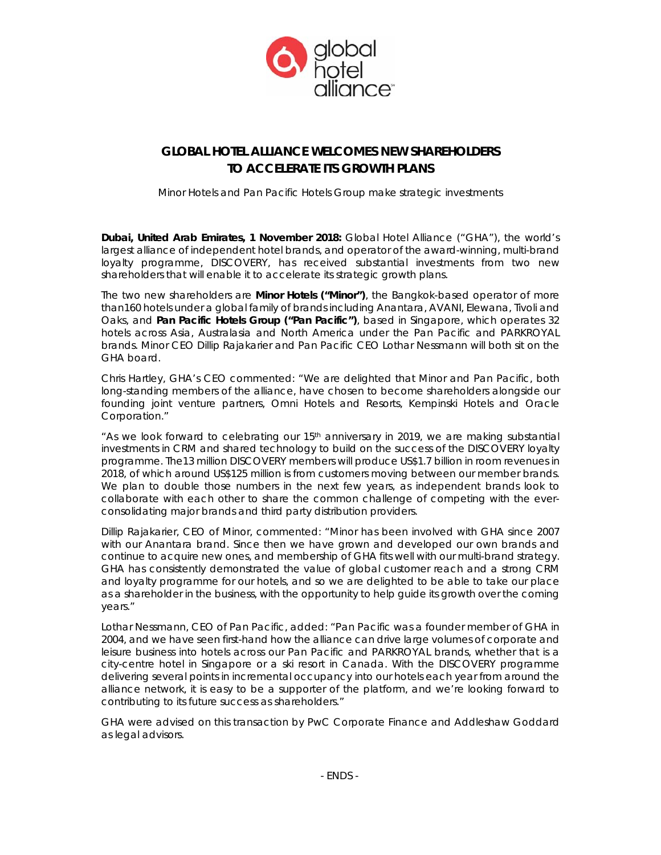

# **GLOBAL HOTEL ALLIANCE WELCOMES NEW SHAREHOLDERS TO ACCELERATE ITS GROWTH PLANS**

*Minor Hotels and Pan Pacific Hotels Group make strategic investments* 

*Dubai, United Arab Emirates, 1 November 2018:* Global Hotel Alliance ("GHA"), the world's largest alliance of independent hotel brands, and operator of the award-winning, multi-brand loyalty programme, DISCOVERY, has received substantial investments from two new shareholders that will enable it to accelerate its strategic growth plans.

The two new shareholders are **Minor Hotels ("Minor")**, the Bangkok-based operator of more than160 hotels under a global family of brands including Anantara, AVANI, Elewana, Tivoli and Oaks, and **Pan Pacific Hotels Group ("Pan Pacific")**, based in Singapore, which operates 32 hotels across Asia, Australasia and North America under the Pan Pacific and PARKROYAL brands. Minor CEO Dillip Rajakarier and Pan Pacific CEO Lothar Nessmann will both sit on the GHA board.

Chris Hartley, GHA's CEO commented: "We are delighted that Minor and Pan Pacific, both long-standing members of the alliance, have chosen to become shareholders alongside our founding joint venture partners, Omni Hotels and Resorts, Kempinski Hotels and Oracle Corporation."

"As we look forward to celebrating our 15th anniversary in 2019, we are making substantial investments in CRM and shared technology to build on the success of the DISCOVERY loyalty programme. The13 million DISCOVERY members will produce US\$1.7 billion in room revenues in 2018, of which around US\$125 million is from customers moving between our member brands. We plan to double those numbers in the next few years, as independent brands look to collaborate with each other to share the common challenge of competing with the everconsolidating major brands and third party distribution providers.

Dillip Rajakarier, CEO of Minor, commented: "Minor has been involved with GHA since 2007 with our Anantara brand. Since then we have grown and developed our own brands and continue to acquire new ones, and membership of GHA fits well with our multi-brand strategy. GHA has consistently demonstrated the value of global customer reach and a strong CRM and loyalty programme for our hotels, and so we are delighted to be able to take our place as a shareholder in the business, with the opportunity to help guide its growth over the coming years."

Lothar Nessmann, CEO of Pan Pacific, added: "Pan Pacific was a founder member of GHA in 2004, and we have seen first-hand how the alliance can drive large volumes of corporate and leisure business into hotels across our Pan Pacific and PARKROYAL brands, whether that is a city-centre hotel in Singapore or a ski resort in Canada. With the DISCOVERY programme delivering several points in incremental occupancy into our hotels each year from around the alliance network, it is easy to be a supporter of the platform, and we're looking forward to contributing to its future success as shareholders."

GHA were advised on this transaction by PwC Corporate Finance and Addleshaw Goddard as legal advisors.